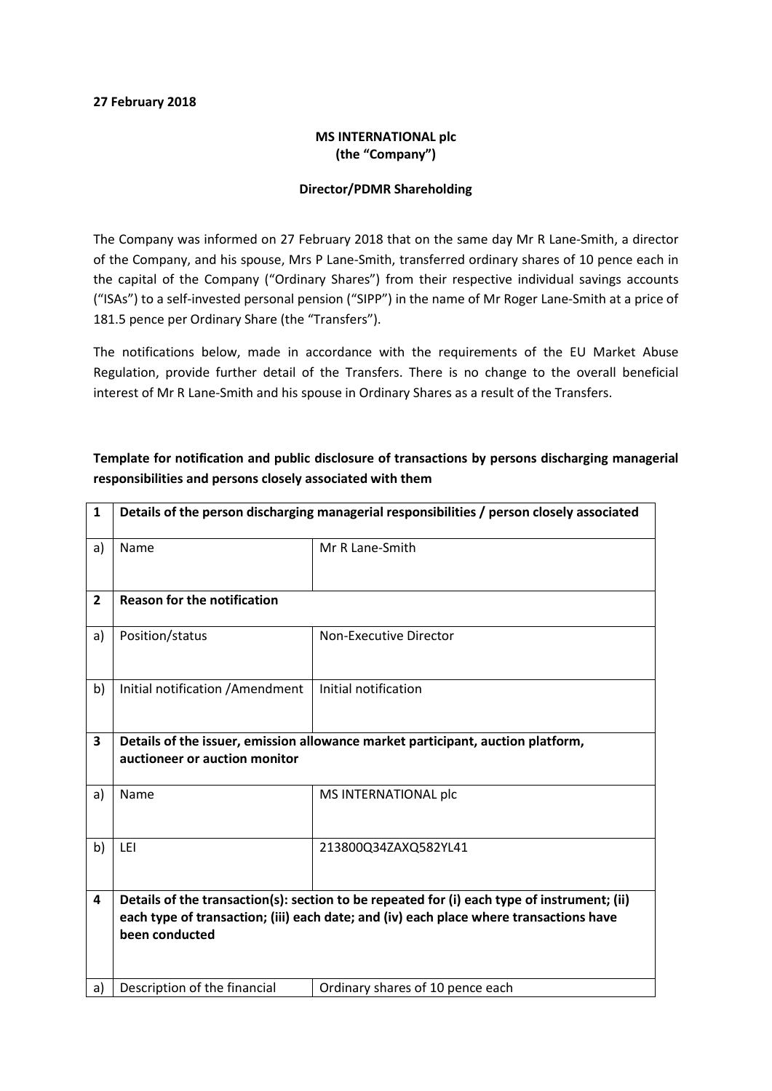## 27 February 2018

## MS INTERNATIONAL plc (the "Company")

## Director/PDMR Shareholding

The Company was informed on 27 February 2018 that on the same day Mr R Lane-Smith, a director of the Company, and his spouse, Mrs P Lane-Smith, transferred ordinary shares of 10 pence each in the capital of the Company ("Ordinary Shares") from their respective individual savings accounts ("ISAs") to a self-invested personal pension ("SIPP") in the name of Mr Roger Lane-Smith at a price of 181.5 pence per Ordinary Share (the "Transfers").

The notifications below, made in accordance with the requirements of the EU Market Abuse Regulation, provide further detail of the Transfers. There is no change to the overall beneficial interest of Mr R Lane-Smith and his spouse in Ordinary Shares as a result of the Transfers.

| $\mathbf{1}$   | Details of the person discharging managerial responsibilities / person closely associated                                                                                                               |                                  |  |
|----------------|---------------------------------------------------------------------------------------------------------------------------------------------------------------------------------------------------------|----------------------------------|--|
| a)             | Name                                                                                                                                                                                                    | Mr R Lane-Smith                  |  |
| $\overline{2}$ | <b>Reason for the notification</b>                                                                                                                                                                      |                                  |  |
| a)             | Position/status                                                                                                                                                                                         | Non-Executive Director           |  |
| b)             | Initial notification / Amendment                                                                                                                                                                        | Initial notification             |  |
| 3              | Details of the issuer, emission allowance market participant, auction platform,<br>auctioneer or auction monitor                                                                                        |                                  |  |
| a)             | Name                                                                                                                                                                                                    | MS INTERNATIONAL plc             |  |
| b)             | LEI                                                                                                                                                                                                     | 213800Q34ZAXQ582YL41             |  |
| 4              | Details of the transaction(s): section to be repeated for (i) each type of instrument; (ii)<br>each type of transaction; (iii) each date; and (iv) each place where transactions have<br>been conducted |                                  |  |
| a)             | Description of the financial                                                                                                                                                                            | Ordinary shares of 10 pence each |  |

Template for notification and public disclosure of transactions by persons discharging managerial responsibilities and persons closely associated with them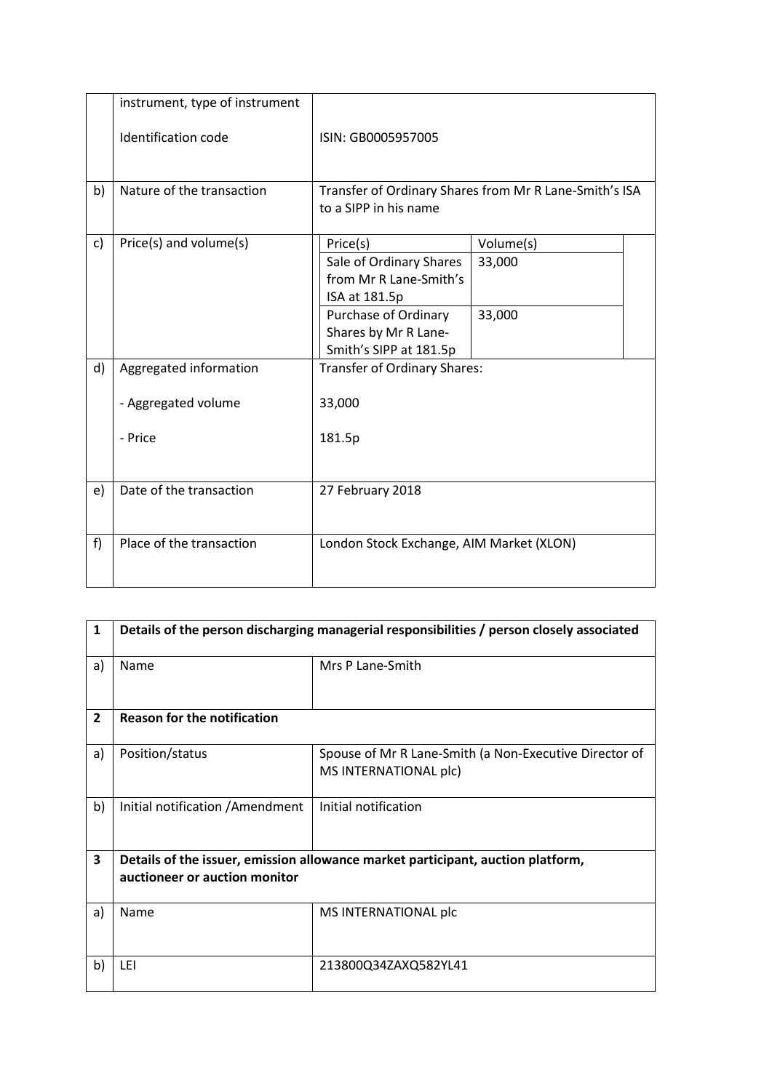|    | instrument, type of instrument |                                                                                                                                |                               |  |
|----|--------------------------------|--------------------------------------------------------------------------------------------------------------------------------|-------------------------------|--|
|    | Identification code            | ISIN: GB0005957005                                                                                                             |                               |  |
| b) | Nature of the transaction      | Transfer of Ordinary Shares from Mr R Lane-Smith's ISA<br>to a SIPP in his name                                                |                               |  |
| c) | Price(s) and volume(s)         | Price(s)<br>Sale of Ordinary Shares<br>from Mr R Lane-Smith's<br>ISA at 181.5p<br>Purchase of Ordinary<br>Shares by Mr R Lane- | Volume(s)<br>33,000<br>33,000 |  |
| d) | Aggregated information         | Smith's SIPP at 181.5p                                                                                                         |                               |  |
|    | - Aggregated volume            | Transfer of Ordinary Shares:<br>33,000                                                                                         |                               |  |
|    | - Price                        | 181.5p                                                                                                                         |                               |  |
| e) | Date of the transaction        | 27 February 2018                                                                                                               |                               |  |
| f) | Place of the transaction       | London Stock Exchange, AIM Market (XLON)                                                                                       |                               |  |

| 1              | Details of the person discharging managerial responsibilities / person closely associated |                                                                                 |  |
|----------------|-------------------------------------------------------------------------------------------|---------------------------------------------------------------------------------|--|
| a)             | Name                                                                                      | Mrs P Lane-Smith                                                                |  |
| $\overline{2}$ | <b>Reason for the notification</b>                                                        |                                                                                 |  |
| a)             | Position/status                                                                           | Spouse of Mr R Lane-Smith (a Non-Executive Director of<br>MS INTERNATIONAL plc) |  |
| b)             | Initial notification / Amendment                                                          | Initial notification                                                            |  |
| 3              | Details of the issuer, emission allowance market participant, auction platform,           |                                                                                 |  |
|                | auctioneer or auction monitor                                                             |                                                                                 |  |
| a)             | Name                                                                                      | MS INTERNATIONAL plc                                                            |  |
| b)             | LEI                                                                                       | 213800Q34ZAXQ582YL41                                                            |  |